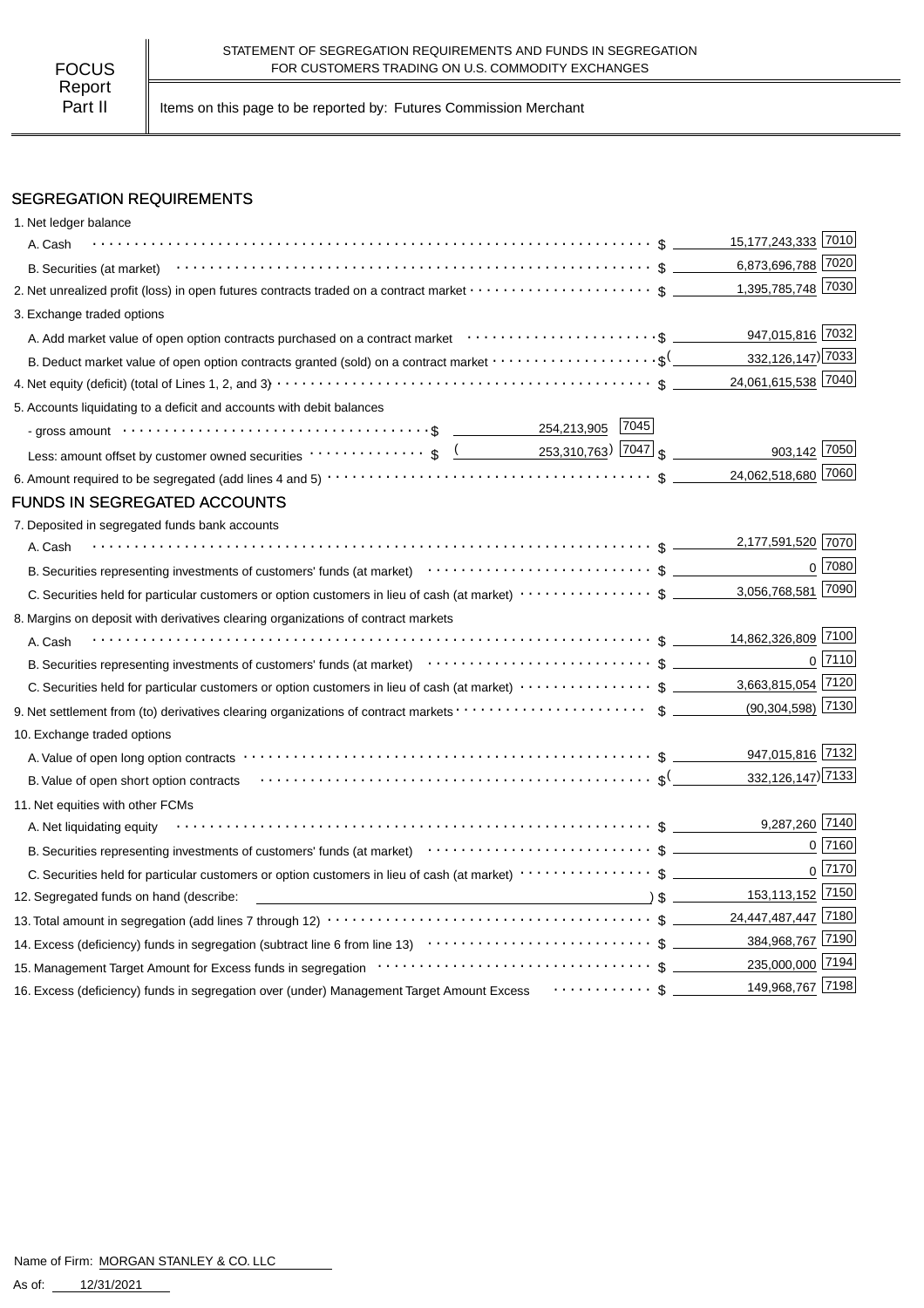Part II | Items on this page to be reported by: Futures Commission Merchant

# SEGREGATION REQUIREMENTS

| A. Cash<br>2. Net unrealized profit (loss) in open futures contracts traded on a contract market \$<br>3. Exchange traded options                                                                                                | 15,177,243,333 7010<br>6,873,696,788 7020<br>1,395,785,748 7030<br>947,015,816 7032<br>332, 126, 147) 7033<br>24,061,615,538 7040 |                |
|----------------------------------------------------------------------------------------------------------------------------------------------------------------------------------------------------------------------------------|-----------------------------------------------------------------------------------------------------------------------------------|----------------|
|                                                                                                                                                                                                                                  |                                                                                                                                   |                |
|                                                                                                                                                                                                                                  |                                                                                                                                   |                |
|                                                                                                                                                                                                                                  |                                                                                                                                   |                |
|                                                                                                                                                                                                                                  |                                                                                                                                   |                |
|                                                                                                                                                                                                                                  |                                                                                                                                   |                |
| B. Deduct market value of open option contracts granted (sold) on a contract market $\cdots\cdots\cdots\cdots\cdots\cdots$                                                                                                       |                                                                                                                                   |                |
|                                                                                                                                                                                                                                  |                                                                                                                                   |                |
| 5. Accounts liquidating to a deficit and accounts with debit balances                                                                                                                                                            |                                                                                                                                   |                |
|                                                                                                                                                                                                                                  |                                                                                                                                   |                |
| Less: amount offset by customer owned securities $\cdots \cdots \cdots$ , $\frac{($ 253,310,763) 7047 $\frac{1}{3}$                                                                                                              | 903,142 7050                                                                                                                      |                |
|                                                                                                                                                                                                                                  | 24,062,518,680 7060                                                                                                               |                |
| <b>FUNDS IN SEGREGATED ACCOUNTS</b>                                                                                                                                                                                              |                                                                                                                                   |                |
| 7. Deposited in segregated funds bank accounts                                                                                                                                                                                   |                                                                                                                                   |                |
| A. Cash                                                                                                                                                                                                                          | 2,177,591,520 7070                                                                                                                |                |
| B. Securities representing investments of customers' funds (at market)<br>The context of the context of customers' funds (at market)<br>Theorem context of the context of the context of the context of the context of the conte |                                                                                                                                   | 0 7080         |
|                                                                                                                                                                                                                                  |                                                                                                                                   |                |
| 8. Margins on deposit with derivatives clearing organizations of contract markets                                                                                                                                                |                                                                                                                                   |                |
| A. Cash                                                                                                                                                                                                                          |                                                                                                                                   |                |
| B. Securities representing investments of customers' funds (at market)<br>$\cdots$ $\cdots$ $\cdots$ $\cdots$ $\cdots$ $\cdots$ $\cdots$ $\cdots$ $\cdots$ $\cdots$ $\cdots$ $\cdots$ $\cdots$                                   |                                                                                                                                   | $0$ 7110       |
|                                                                                                                                                                                                                                  |                                                                                                                                   |                |
|                                                                                                                                                                                                                                  | $(90,304,598)$ 7130                                                                                                               |                |
| 10. Exchange traded options                                                                                                                                                                                                      |                                                                                                                                   |                |
|                                                                                                                                                                                                                                  | 947,015,816 7132                                                                                                                  |                |
| B. Value of open short option contracts (all contexts) and context and context and context and context and context and context and context and context and context and context and context and context and context and context   | 332, 126, 147) 7133                                                                                                               |                |
| 11. Net equities with other FCMs                                                                                                                                                                                                 |                                                                                                                                   |                |
| A. Net liquidating equity                                                                                                                                                                                                        | 9,287,260 7140                                                                                                                    |                |
| B. Securities representing investments of customers' funds (at market)<br>$\cdots$ $\cdots$ $\uparrow$ $\qquad$ $\qquad$                                                                                                         |                                                                                                                                   | 0 7160         |
|                                                                                                                                                                                                                                  |                                                                                                                                   | $0\sqrt{7170}$ |
| $\sim$ 8 $\sim$<br>12. Segregated funds on hand (describe:                                                                                                                                                                       | 153,113,152 7150                                                                                                                  |                |
|                                                                                                                                                                                                                                  | 24,447,487,447 7180                                                                                                               |                |
|                                                                                                                                                                                                                                  | 384,968,767 7190                                                                                                                  |                |
|                                                                                                                                                                                                                                  | 235,000,000 7194                                                                                                                  |                |
| 16. Excess (deficiency) funds in segregation over (under) Management Target Amount Excess Fachion Construct Summer                                                                                                               | 149,968,767 7198                                                                                                                  |                |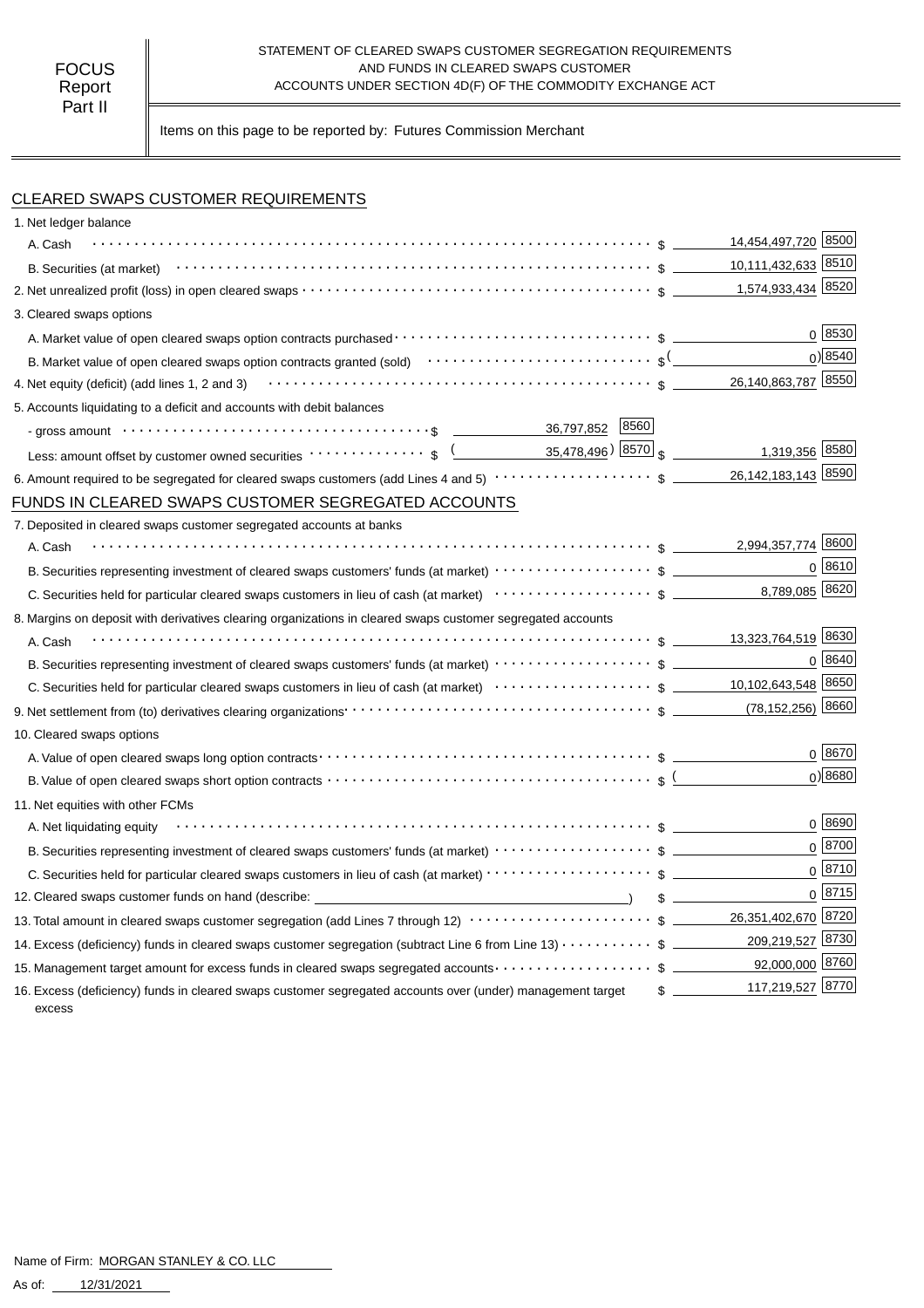#### STATEMENT OF CLEARED SWAPS CUSTOMER SEGREGATION REQUIREMENTS AND FUNDS IN CLEARED SWAPS CUSTOMER ACCOUNTS UNDER SECTION 4D(F) OF THE COMMODITY EXCHANGE ACT

Items on this page to be reported by: Futures Commission Merchant

## CLEARED SWAPS CUSTOMER REQUIREMENTS

| 1. Net ledger balance                                                                                                                                                                         |                                   |
|-----------------------------------------------------------------------------------------------------------------------------------------------------------------------------------------------|-----------------------------------|
| A. Cash                                                                                                                                                                                       | 14,454,497,720 8500               |
|                                                                                                                                                                                               | 10,111,432,633 8510               |
|                                                                                                                                                                                               |                                   |
| 3. Cleared swaps options                                                                                                                                                                      |                                   |
|                                                                                                                                                                                               | 0 8530                            |
| B. Market value of open cleared swaps option contracts granted (sold) $\cdots \cdots \cdots \cdots \cdots \cdots \cdots$ \$ <sup>(</sup>                                                      | $0$ <sup>8540</sup>               |
| 4. Net equity (deficit) (add lines 1, 2 and 3) $\cdots \cdots \cdots \cdots \cdots \cdots \cdots \cdots \cdots \cdots \cdots \cdots \cdots$ \$ $\underline{\hspace{1cm}}$ 26,140,863,787 8550 |                                   |
| 5. Accounts liquidating to a deficit and accounts with debit balances                                                                                                                         |                                   |
| 36,797,852 8560                                                                                                                                                                               |                                   |
|                                                                                                                                                                                               | 1,319,356 8580                    |
|                                                                                                                                                                                               |                                   |
| FUNDS IN CLEARED SWAPS CUSTOMER SEGREGATED ACCOUNTS                                                                                                                                           |                                   |
| 7. Deposited in cleared swaps customer segregated accounts at banks                                                                                                                           |                                   |
| A. Cash                                                                                                                                                                                       | 2,994,357,774 8600                |
|                                                                                                                                                                                               | $0 \; 8610$                       |
|                                                                                                                                                                                               |                                   |
| 8. Margins on deposit with derivatives clearing organizations in cleared swaps customer segregated accounts                                                                                   |                                   |
| A. Cash                                                                                                                                                                                       |                                   |
|                                                                                                                                                                                               | 0 8640                            |
|                                                                                                                                                                                               |                                   |
|                                                                                                                                                                                               |                                   |
| 10. Cleared swaps options                                                                                                                                                                     |                                   |
|                                                                                                                                                                                               | $0^{8670}$                        |
| B. Value of open cleared swaps short option contracts $\cdots \cdots \cdots \cdots \cdots \cdots \cdots \cdots \cdots \cdots \cdots$                                                          | $0$ <sup>8680</sup>               |
| 11. Net equities with other FCMs                                                                                                                                                              |                                   |
| A. Net liquidating equity                                                                                                                                                                     | 0   8690                          |
|                                                                                                                                                                                               | $0^{8700}$                        |
| C. Securities held for particular cleared swaps customers in lieu of cash (at market) · · · · · · · · · · · · · · · · · · \$                                                                  | $0^{8710}$                        |
| 12. Cleared swaps customer funds on hand (describe: _____________________________                                                                                                             | 0 8715<br>$\frac{1}{2}$           |
| 13. Total amount in cleared swaps customer segregation (add Lines 7 through 12) $\cdots\cdots\cdots\cdots\cdots\cdots\cdots\$ \$ _______ 26,351,402,670 8720                                  |                                   |
| 14. Excess (deficiency) funds in cleared swaps customer segregation (subtract Line 6 from Line 13) \$                                                                                         | 209,219,527 8730                  |
| 15. Management target amount for excess funds in cleared swaps segregated accounts $\cdots\cdots\cdots\cdots\cdots\quad$ \$ ___________92,000,000 8760                                        |                                   |
| 16. Excess (deficiency) funds in cleared swaps customer segregated accounts over (under) management target<br>excess                                                                          | 117,219,527 8770<br>$\frac{1}{2}$ |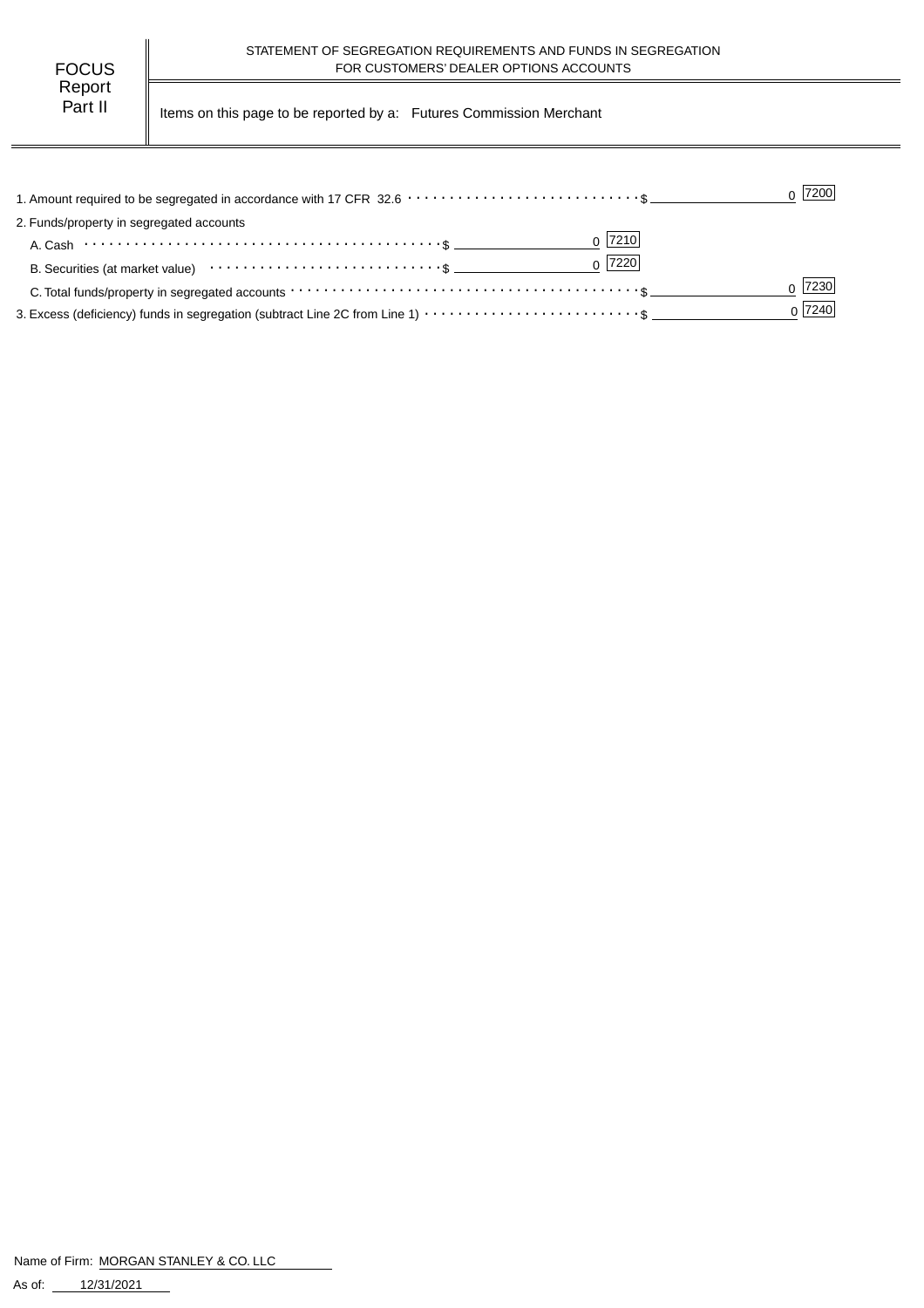Part II | Items on this page to be reported by a: Futures Commission Merchant

|                                                                                                                | $0$  7200 |
|----------------------------------------------------------------------------------------------------------------|-----------|
| 2. Funds/property in segregated accounts                                                                       |           |
| $0$  7210                                                                                                      |           |
| $0$  7220 <br>B. Securities (at market value) $\cdots \cdots \cdots \cdots \cdots \cdots \cdots \cdots \cdots$ |           |
|                                                                                                                | 7230      |
|                                                                                                                | 0 7240    |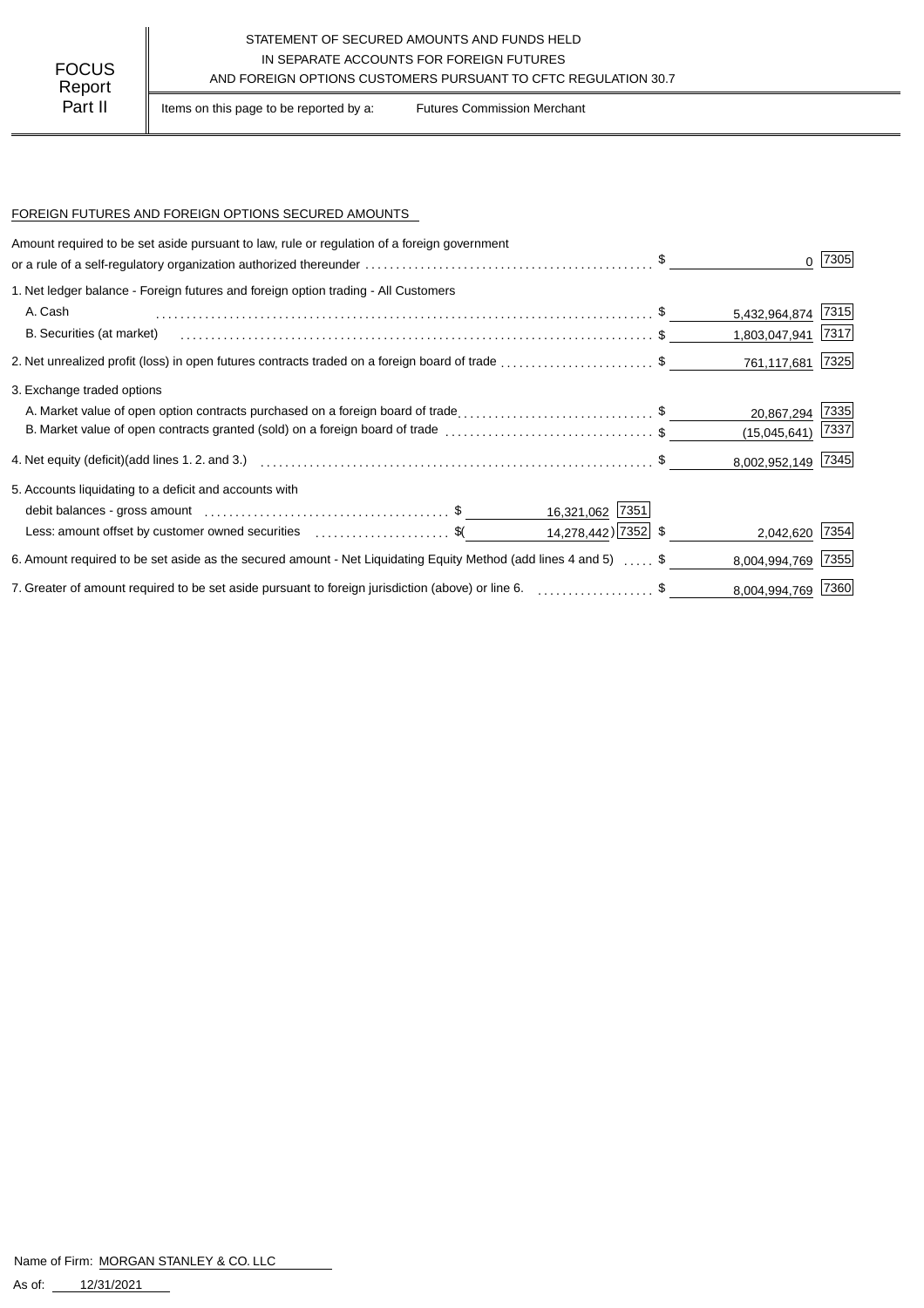### STATEMENT OF SECURED AMOUNTS AND FUNDS HELD IN SEPARATE ACCOUNTS FOR FOREIGN FUTURES AND FOREIGN OPTIONS CUSTOMERS PURSUANT TO CFTC REGULATION 30.7

Part II | Items on this page to be reported by a: Futures Commission Merchant

#### FOREIGN FUTURES AND FOREIGN OPTIONS SECURED AMOUNTS

| Amount required to be set aside pursuant to law, rule or regulation of a foreign government                      |                    |      |
|------------------------------------------------------------------------------------------------------------------|--------------------|------|
|                                                                                                                  |                    | 7305 |
| 1. Net ledger balance - Foreign futures and foreign option trading - All Customers                               |                    |      |
| A. Cash                                                                                                          | 5,432,964,874 7315 |      |
| B. Securities (at market)                                                                                        | 1,803,047,941 7317 |      |
| 2. Net unrealized profit (loss) in open futures contracts traded on a foreign board of trade \$                  | 761,117,681 7325   |      |
| 3. Exchange traded options                                                                                       |                    |      |
| A. Market value of open option contracts purchased on a foreign board of trade\$                                 | 20,867,294 7335    |      |
| B. Market value of open contracts granted (sold) on a foreign board of trade \$                                  | (15,045,641)       | 7337 |
|                                                                                                                  | 8,002,952,149 7345 |      |
| 5. Accounts liquidating to a deficit and accounts with                                                           |                    |      |
| 16,321,062 7351                                                                                                  |                    |      |
| $14,278,442$ ) 7352 \$<br>Less: amount offset by customer owned securities \$ (\$                                | 2,042,620 7354     |      |
| 6. Amount required to be set aside as the secured amount - Net Liquidating Equity Method (add lines 4 and 5)  \$ | 8,004,994,769      | 7355 |
| 7. Greater of amount required to be set aside pursuant to foreign jurisdiction (above) or line 6. \$             | 8,004,994,769 7360 |      |